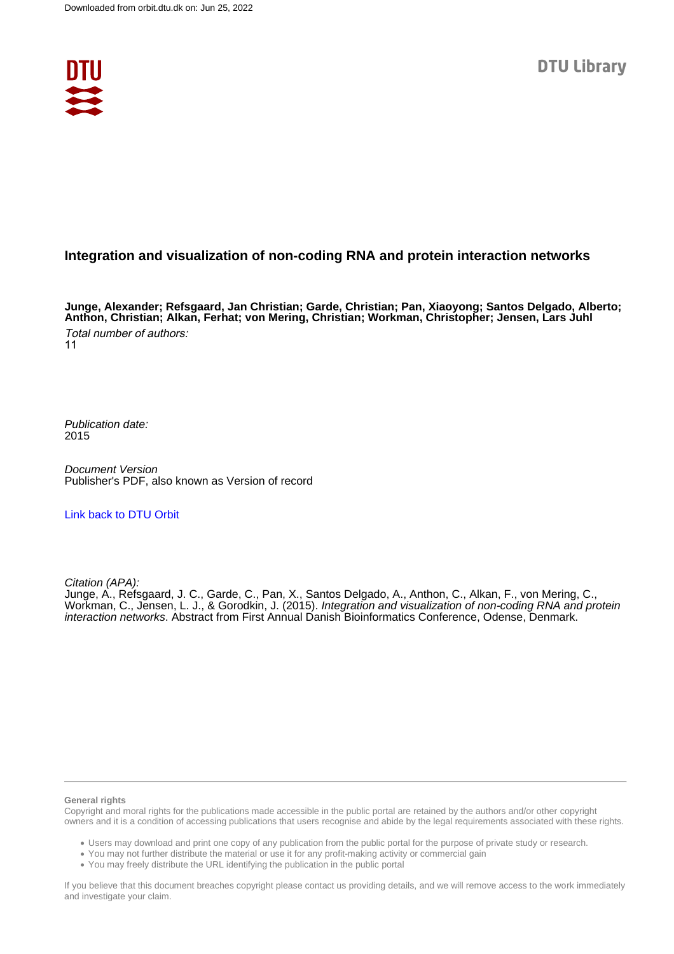

### **Integration and visualization of non-coding RNA and protein interaction networks**

**Junge, Alexander; Refsgaard, Jan Christian; Garde, Christian; Pan, Xiaoyong; Santos Delgado, Alberto; Anthon, Christian; Alkan, Ferhat; von Mering, Christian; Workman, Christopher; Jensen, Lars Juhl** Total number of authors: 11

Publication date: 2015

Document Version Publisher's PDF, also known as Version of record

### [Link back to DTU Orbit](https://orbit.dtu.dk/en/publications/b168d52f-f578-42f4-b361-846c53c8fcd2)

Citation (APA):

Junge, A., Refsgaard, J. C., Garde, C., Pan, X., Santos Delgado, A., Anthon, C., Alkan, F., von Mering, C., Workman, C., Jensen, L. J., & Gorodkin, J. (2015). Integration and visualization of non-coding RNA and protein interaction networks. Abstract from First Annual Danish Bioinformatics Conference, Odense, Denmark.

#### **General rights**

Copyright and moral rights for the publications made accessible in the public portal are retained by the authors and/or other copyright owners and it is a condition of accessing publications that users recognise and abide by the legal requirements associated with these rights.

Users may download and print one copy of any publication from the public portal for the purpose of private study or research.

- You may not further distribute the material or use it for any profit-making activity or commercial gain
- You may freely distribute the URL identifying the publication in the public portal

If you believe that this document breaches copyright please contact us providing details, and we will remove access to the work immediately and investigate your claim.